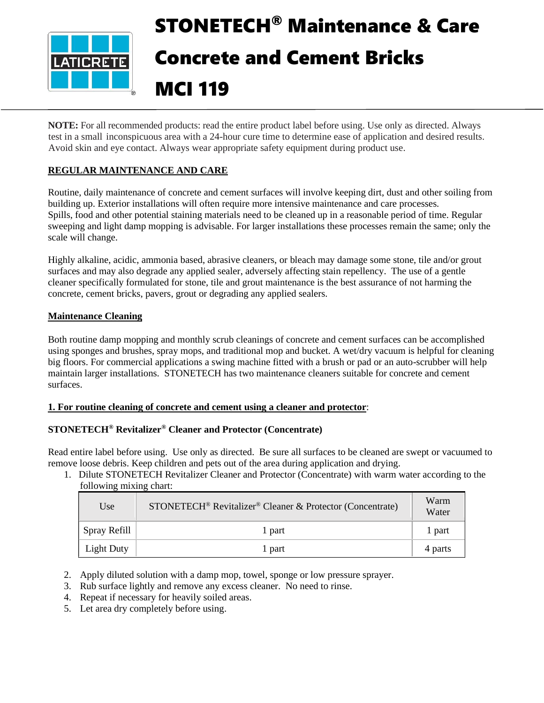

# STONETECH® Maintenance & Care Concrete and Cement Bricks MCI 119

**NOTE:** For all recommended products: read the entire product label before using. Use only as directed. Always test in a small inconspicuous area with a 24-hour cure time to determine ease of application and desired results. Avoid skin and eye contact. Always wear appropriate safety equipment during product use.

# **REGULAR MAINTENANCE AND CARE**

Routine, daily maintenance of concrete and cement surfaces will involve keeping dirt, dust and other soiling from building up. Exterior installations will often require more intensive maintenance and care processes. Spills, food and other potential staining materials need to be cleaned up in a reasonable period of time. Regular sweeping and light damp mopping is advisable. For larger installations these processes remain the same; only the scale will change.

Highly alkaline, acidic, ammonia based, abrasive cleaners, or bleach may damage some stone, tile and/or grout surfaces and may also degrade any applied sealer, adversely affecting stain repellency. The use of a gentle cleaner specifically formulated for stone, tile and grout maintenance is the best assurance of not harming the concrete, cement bricks, pavers, grout or degrading any applied sealers.

# **Maintenance Cleaning**

Both routine damp mopping and monthly scrub cleanings of concrete and cement surfaces can be accomplished using sponges and brushes, spray mops, and traditional mop and bucket. A wet/dry vacuum is helpful for cleaning big floors. For commercial applications a swing machine fitted with a brush or pad or an auto-scrubber will help maintain larger installations. STONETECH has two maintenance cleaners suitable for concrete and cement surfaces.

# **1. For routine cleaning of concrete and cement using a cleaner and protector**:

# **STONETECH® Revitalizer® Cleaner and Protector (Concentrate)**

Read entire label before using. Use only as directed. Be sure all surfaces to be cleaned are swept or vacuumed to remove loose debris. Keep children and pets out of the area during application and drying.

1. Dilute STONETECH Revitalizer Cleaner and Protector (Concentrate) with warm water according to the following mixing chart:

| Use                  | STONETECH <sup>®</sup> Revitalizer® Cleaner & Protector (Concentrate) | Warm<br>Water |
|----------------------|-----------------------------------------------------------------------|---------------|
| $\vert$ Spray Refill | 1 part                                                                | 1 part        |
| Light Duty           | 1 part                                                                | 4 parts       |

- 2. Apply diluted solution with a damp mop, towel, sponge or low pressure sprayer.
- 3. Rub surface lightly and remove any excess cleaner. No need to rinse.
- 4. Repeat if necessary for heavily soiled areas.
- 5. Let area dry completely before using.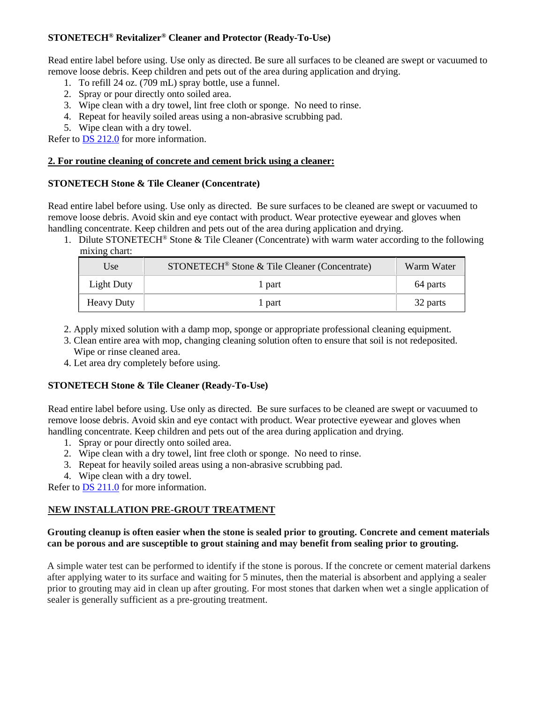# **STONETECH® Revitalizer® Cleaner and Protector (Ready-To-Use)**

Read entire label before using. Use only as directed. Be sure all surfaces to be cleaned are swept or vacuumed to remove loose debris. Keep children and pets out of the area during application and drying.

- 1. To refill 24 oz. (709 mL) spray bottle, use a funnel.
- 2. Spray or pour directly onto soiled area.
- 3. Wipe clean with a dry towel, lint free cloth or sponge. No need to rinse.
- 4. Repeat for heavily soiled areas using a non-abrasive scrubbing pad.
- 5. Wipe clean with a dry towel.

Refer to [DS 212.0](https://cdn.laticrete.com/~/media/product-documents/product-data-sheets/ds-212.ashx) for more information.

#### **2. For routine cleaning of concrete and cement brick using a cleaner:**

#### **STONETECH Stone & Tile Cleaner (Concentrate)**

Read entire label before using. Use only as directed. Be sure surfaces to be cleaned are swept or vacuumed to remove loose debris. Avoid skin and eye contact with product. Wear protective eyewear and gloves when handling concentrate. Keep children and pets out of the area during application and drying.

1. Dilute STONETECH® Stone & Tile Cleaner (Concentrate) with warm water according to the following mixing chart:

| Use               | STONETECH <sup>®</sup> Stone & Tile Cleaner (Concentrate) | Warm Water |
|-------------------|-----------------------------------------------------------|------------|
| Light Duty        | l part                                                    | 64 parts   |
| <b>Heavy Duty</b> | l part                                                    | 32 parts   |

- 2. Apply mixed solution with a damp mop, sponge or appropriate professional cleaning equipment.
- 3. Clean entire area with mop, changing cleaning solution often to ensure that soil is not redeposited. Wipe or rinse cleaned area.
- 4. Let area dry completely before using.

# **STONETECH Stone & Tile Cleaner (Ready-To-Use)**

Read entire label before using. Use only as directed. Be sure surfaces to be cleaned are swept or vacuumed to remove loose debris. Avoid skin and eye contact with product. Wear protective eyewear and gloves when handling concentrate. Keep children and pets out of the area during application and drying.

- 1. Spray or pour directly onto soiled area.
- 2. Wipe clean with a dry towel, lint free cloth or sponge. No need to rinse.
- 3. Repeat for heavily soiled areas using a non-abrasive scrubbing pad.
- 4. Wipe clean with a dry towel.

Refer to **DS** 211.0 for more information.

# **NEW INSTALLATION PRE-GROUT TREATMENT**

#### **Grouting cleanup is often easier when the stone is sealed prior to grouting. Concrete and cement materials can be porous and are susceptible to grout staining and may benefit from sealing prior to grouting.**

A simple water test can be performed to identify if the stone is porous. If the concrete or cement material darkens after applying water to its surface and waiting for 5 minutes, then the material is absorbent and applying a sealer prior to grouting may aid in clean up after grouting. For most stones that darken when wet a single application of sealer is generally sufficient as a pre-grouting treatment.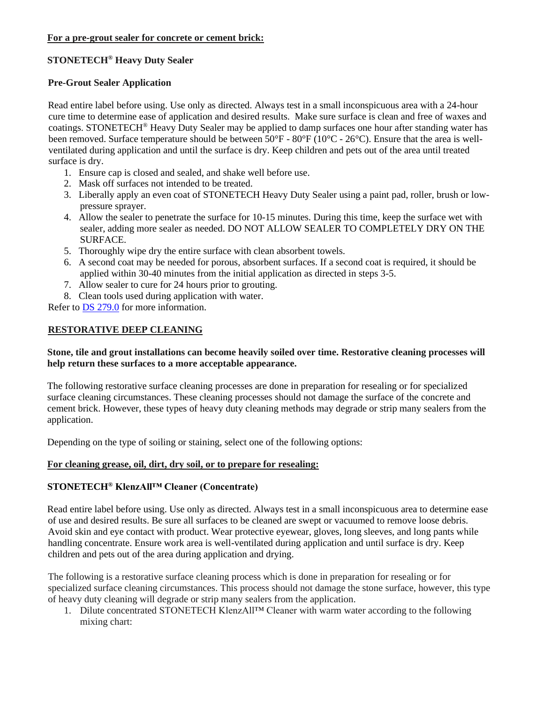#### **For a pre-grout sealer for concrete or cement brick:**

# **STONETECH® Heavy Duty Sealer**

# **Pre-Grout Sealer Application**

Read entire label before using. Use only as directed. Always test in a small inconspicuous area with a 24-hour cure time to determine ease of application and desired results. Make sure surface is clean and free of waxes and coatings. STONETECH<sup>®</sup> Heavy Duty Sealer may be applied to damp surfaces one hour after standing water has been removed. Surface temperature should be between 50°F - 80°F (10°C - 26°C). Ensure that the area is wellventilated during application and until the surface is dry. Keep children and pets out of the area until treated surface is dry.

- 1. Ensure cap is closed and sealed, and shake well before use.
- 2. Mask off surfaces not intended to be treated.
- 3. Liberally apply an even coat of STONETECH Heavy Duty Sealer using a paint pad, roller, brush or lowpressure sprayer.
- 4. Allow the sealer to penetrate the surface for 10-15 minutes. During this time, keep the surface wet with sealer, adding more sealer as needed. DO NOT ALLOW SEALER TO COMPLETELY DRY ON THE SURFACE.
- 5. Thoroughly wipe dry the entire surface with clean absorbent towels.
- 6. A second coat may be needed for porous, absorbent surfaces. If a second coat is required, it should be applied within 30-40 minutes from the initial application as directed in steps 3-5.
- 7. Allow sealer to cure for 24 hours prior to grouting.
- 8. Clean tools used during application with water.

Refer to [DS 279.0](https://cdn.laticrete.com/~/media/product-documents/product-data-sheets/ds-279.ashx) for more information.

# **RESTORATIVE DEEP CLEANING**

#### **Stone, tile and grout installations can become heavily soiled over time. Restorative cleaning processes will help return these surfaces to a more acceptable appearance.**

The following restorative surface cleaning processes are done in preparation for resealing or for specialized surface cleaning circumstances. These cleaning processes should not damage the surface of the concrete and cement brick. However, these types of heavy duty cleaning methods may degrade or strip many sealers from the application.

Depending on the type of soiling or staining, select one of the following options:

# **For cleaning grease, oil, dirt, dry soil, or to prepare for resealing:**

# **STONETECH® KlenzAll™ Cleaner (Concentrate)**

Read entire label before using. Use only as directed. Always test in a small inconspicuous area to determine ease of use and desired results. Be sure all surfaces to be cleaned are swept or vacuumed to remove loose debris. Avoid skin and eye contact with product. Wear protective eyewear, gloves, long sleeves, and long pants while handling concentrate. Ensure work area is well-ventilated during application and until surface is dry. Keep children and pets out of the area during application and drying.

The following is a restorative surface cleaning process which is done in preparation for resealing or for specialized surface cleaning circumstances. This process should not damage the stone surface, however, this type of heavy duty cleaning will degrade or strip many sealers from the application.

1. Dilute concentrated STONETECH KlenzAll™ Cleaner with warm water according to the following mixing chart: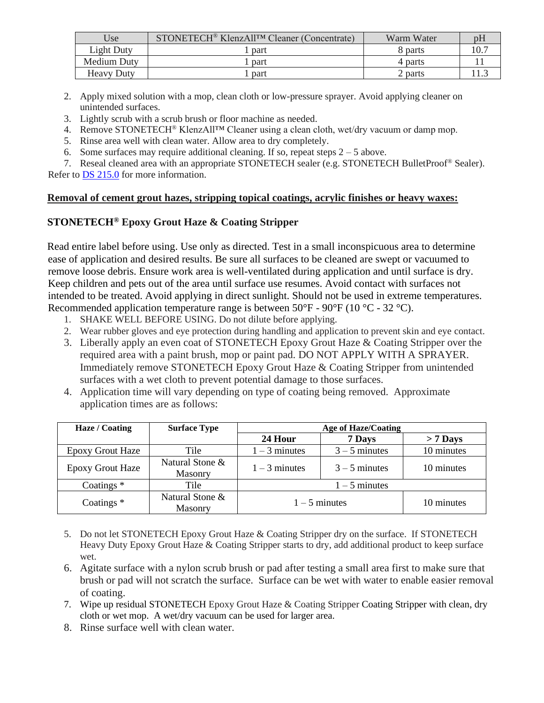| Use               | STONETECH <sup>®</sup> KlenzAll <sup>TM</sup> Cleaner (Concentrate) | Warm Water |  |
|-------------------|---------------------------------------------------------------------|------------|--|
| Light Duty        | part                                                                | 8 parts    |  |
| Medium Duty       | part                                                                | 4 parts    |  |
| <b>Heavy Duty</b> | part                                                                | 2 parts    |  |

- 2. Apply mixed solution with a mop, clean cloth or low-pressure sprayer. Avoid applying cleaner on unintended surfaces.
- 3. Lightly scrub with a scrub brush or floor machine as needed.
- 4. Remove STONETECH® KlenzAll™ Cleaner using a clean cloth, wet/dry vacuum or damp mop.
- 5. Rinse area well with clean water. Allow area to dry completely.
- 6. Some surfaces may require additional cleaning. If so, repeat steps  $2 5$  above.

7. Reseal cleaned area with an appropriate STONETECH sealer (e.g. STONETECH BulletProof® Sealer). Refer to [DS 215.0](https://cdn.laticrete.com/~/media/product-documents/product-data-sheets/ds-215.ashx) for more information.

# **Removal of cement grout hazes, stripping topical coatings, acrylic finishes or heavy waxes:**

# **STONETECH® Epoxy Grout Haze & Coating Stripper**

Read entire label before using. Use only as directed. Test in a small inconspicuous area to determine ease of application and desired results. Be sure all surfaces to be cleaned are swept or vacuumed to remove loose debris. Ensure work area is well-ventilated during application and until surface is dry. Keep children and pets out of the area until surface use resumes. Avoid contact with surfaces not intended to be treated. Avoid applying in direct sunlight. Should not be used in extreme temperatures. Recommended application temperature range is between  $50^{\circ}$ F -  $90^{\circ}$ F (10  $^{\circ}$ C - 32  $^{\circ}$ C).

- 1. SHAKE WELL BEFORE USING. Do not dilute before applying.
- 2. Wear rubber gloves and eye protection during handling and application to prevent skin and eye contact.
- 3. Liberally apply an even coat of STONETECH Epoxy Grout Haze & Coating Stripper over the required area with a paint brush, mop or paint pad. DO NOT APPLY WITH A SPRAYER. Immediately remove STONETECH Epoxy Grout Haze & Coating Stripper from unintended surfaces with a wet cloth to prevent potential damage to those surfaces.
- 4. Application time will vary depending on type of coating being removed. Approximate application times are as follows:

| Haze / Coating          | <b>Surface Type</b>        | <b>Age of Haze/Coating</b> |                 |            |
|-------------------------|----------------------------|----------------------------|-----------------|------------|
|                         |                            | 24 Hour                    | 7 Days          | $> 7$ Days |
| <b>Epoxy Grout Haze</b> | Tile                       | $1 - 3$ minutes            | $3 - 5$ minutes | 10 minutes |
| <b>Epoxy Grout Haze</b> | Natural Stone &<br>Masonry | $1 - 3$ minutes            | $3 - 5$ minutes | 10 minutes |
| Coatings $*$            | Tile                       |                            | $1 - 5$ minutes |            |
| Coatings $*$            | Natural Stone &<br>Masonry | $1 - 5$ minutes            |                 | 10 minutes |

- 5. Do not let STONETECH Epoxy Grout Haze & Coating Stripper dry on the surface. If STONETECH Heavy Duty Epoxy Grout Haze & Coating Stripper starts to dry, add additional product to keep surface wet.
- 6. Agitate surface with a nylon scrub brush or pad after testing a small area first to make sure that brush or pad will not scratch the surface. Surface can be wet with water to enable easier removal of coating.
- 7. Wipe up residual STONETECH Epoxy Grout Haze & Coating Stripper Coating Stripper with clean, dry cloth or wet mop. A wet/dry vacuum can be used for larger area.
- 8. Rinse surface well with clean water.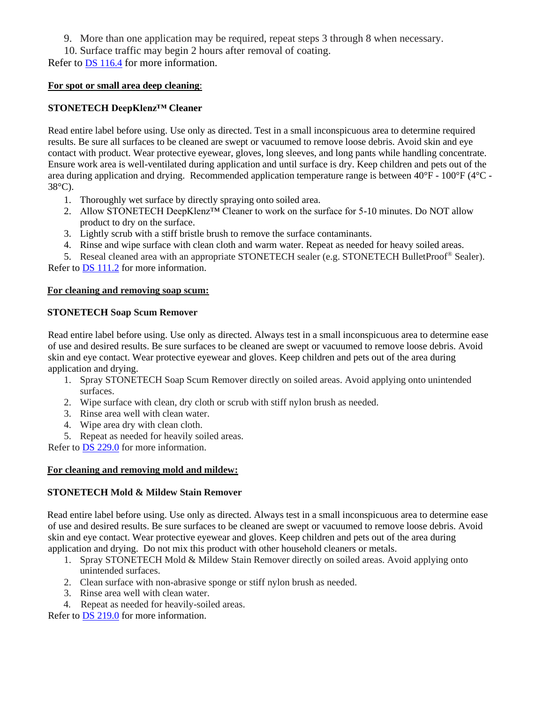9. More than one application may be required, repeat steps 3 through 8 when necessary.

10. Surface traffic may begin 2 hours after removal of coating.

Refer to **DS** 116.4 for more information.

#### **For spot or small area deep cleaning**:

# **STONETECH DeepKlenz™ Cleaner**

Read entire label before using. Use only as directed. Test in a small inconspicuous area to determine required results. Be sure all surfaces to be cleaned are swept or vacuumed to remove loose debris. Avoid skin and eye contact with product. Wear protective eyewear, gloves, long sleeves, and long pants while handling concentrate. Ensure work area is well-ventilated during application and until surface is dry. Keep children and pets out of the area during application and drying. Recommended application temperature range is between 40°F - 100°F (4°C - 38°C).

- 1. Thoroughly wet surface by directly spraying onto soiled area.
- 2. Allow STONETECH DeepKlenz™ Cleaner to work on the surface for 5-10 minutes. Do NOT allow product to dry on the surface.
- 3. Lightly scrub with a stiff bristle brush to remove the surface contaminants.
- 4. Rinse and wipe surface with clean cloth and warm water. Repeat as needed for heavy soiled areas.

5. Reseal cleaned area with an appropriate STONETECH sealer (e.g. STONETECH BulletProof® Sealer). Refer to **DS** 111.2 for more information.

#### **For cleaning and removing soap scum:**

# **STONETECH Soap Scum Remover**

Read entire label before using. Use only as directed. Always test in a small inconspicuous area to determine ease of use and desired results. Be sure surfaces to be cleaned are swept or vacuumed to remove loose debris. Avoid skin and eye contact. Wear protective eyewear and gloves. Keep children and pets out of the area during application and drying.

- 1. Spray STONETECH Soap Scum Remover directly on soiled areas. Avoid applying onto unintended surfaces.
- 2. Wipe surface with clean, dry cloth or scrub with stiff nylon brush as needed.
- 3. Rinse area well with clean water.
- 4. Wipe area dry with clean cloth.
- 5. Repeat as needed for heavily soiled areas.

Refer to [DS 229.0](https://cdn.laticrete.com/~/media/product-documents/product-data-sheets/ds-229.ashx) for more information.

# **For cleaning and removing mold and mildew:**

# **STONETECH Mold & Mildew Stain Remover**

Read entire label before using. Use only as directed. Always test in a small inconspicuous area to determine ease of use and desired results. Be sure surfaces to be cleaned are swept or vacuumed to remove loose debris. Avoid skin and eye contact. Wear protective eyewear and gloves. Keep children and pets out of the area during application and drying. Do not mix this product with other household cleaners or metals.

- 1. Spray STONETECH Mold & Mildew Stain Remover directly on soiled areas. Avoid applying onto unintended surfaces.
- 2. Clean surface with non-abrasive sponge or stiff nylon brush as needed.
- 3. Rinse area well with clean water.
- 4. Repeat as needed for heavily-soiled areas.

Refer to [DS 219.0](https://cdn.laticrete.com/~/media/product-documents/product-data-sheets/ds-219.ashx) for more information.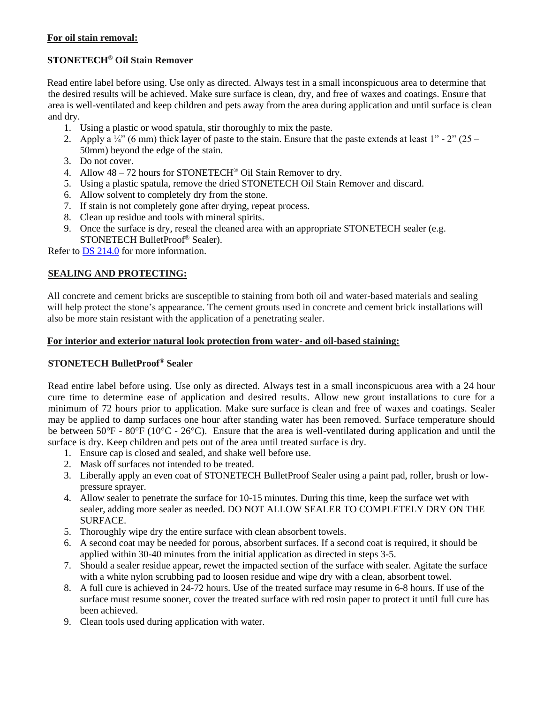#### **For oil stain removal:**

# **STONETECH® Oil Stain Remover**

Read entire label before using. Use only as directed. Always test in a small inconspicuous area to determine that the desired results will be achieved. Make sure surface is clean, dry, and free of waxes and coatings. Ensure that area is well-ventilated and keep children and pets away from the area during application and until surface is clean and dry.

- 1. Using a plastic or wood spatula, stir thoroughly to mix the paste.
- 2. Apply a  $\frac{1}{4}$  (6 mm) thick layer of paste to the stain. Ensure that the paste extends at least 1" 2" (25 50mm) beyond the edge of the stain.
- 3. Do not cover.
- 4. Allow 48 72 hours for STONETECH® Oil Stain Remover to dry.
- 5. Using a plastic spatula, remove the dried STONETECH Oil Stain Remover and discard.
- 6. Allow solvent to completely dry from the stone.
- 7. If stain is not completely gone after drying, repeat process.
- 8. Clean up residue and tools with mineral spirits.
- 9. Once the surface is dry, reseal the cleaned area with an appropriate STONETECH sealer (e.g. STONETECH BulletProof® Sealer).

Refer to [DS 214.0](https://cdn.laticrete.com/~/media/product-documents/product-data-sheets/ds-214.ashx) for more information.

# **SEALING AND PROTECTING:**

All concrete and cement bricks are susceptible to staining from both oil and water-based materials and sealing will help protect the stone's appearance. The cement grouts used in concrete and cement brick installations will also be more stain resistant with the application of a penetrating sealer.

#### **For interior and exterior natural look protection from water- and oil-based staining:**

# **STONETECH BulletProof® Sealer**

Read entire label before using. Use only as directed. Always test in a small inconspicuous area with a 24 hour cure time to determine ease of application and desired results. Allow new grout installations to cure for a minimum of 72 hours prior to application. Make sure surface is clean and free of waxes and coatings. Sealer may be applied to damp surfaces one hour after standing water has been removed. Surface temperature should be between 50°F - 80°F (10°C - 26°C). Ensure that the area is well-ventilated during application and until the surface is dry. Keep children and pets out of the area until treated surface is dry.

- 1. Ensure cap is closed and sealed, and shake well before use.
- 2. Mask off surfaces not intended to be treated.
- 3. Liberally apply an even coat of STONETECH BulletProof Sealer using a paint pad, roller, brush or lowpressure sprayer.
- 4. Allow sealer to penetrate the surface for 10-15 minutes. During this time, keep the surface wet with sealer, adding more sealer as needed. DO NOT ALLOW SEALER TO COMPLETELY DRY ON THE SURFACE.
- 5. Thoroughly wipe dry the entire surface with clean absorbent towels.
- 6. A second coat may be needed for porous, absorbent surfaces. If a second coat is required, it should be applied within 30-40 minutes from the initial application as directed in steps 3-5.
- 7. Should a sealer residue appear, rewet the impacted section of the surface with sealer. Agitate the surface with a white nylon scrubbing pad to loosen residue and wipe dry with a clean, absorbent towel.
- 8. A full cure is achieved in 24-72 hours. Use of the treated surface may resume in 6-8 hours. If use of the surface must resume sooner, cover the treated surface with red rosin paper to protect it until full cure has been achieved.
- 9. Clean tools used during application with water.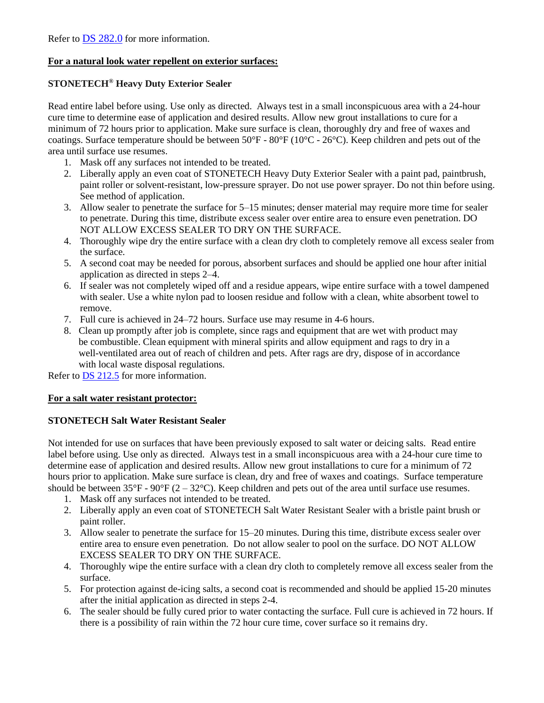# **For a natural look water repellent on exterior surfaces:**

# **STONETECH® Heavy Duty Exterior Sealer**

Read entire label before using. Use only as directed. Always test in a small inconspicuous area with a 24-hour cure time to determine ease of application and desired results. Allow new grout installations to cure for a minimum of 72 hours prior to application. Make sure surface is clean, thoroughly dry and free of waxes and coatings. Surface temperature should be between  $50^{\circ}F - 80^{\circ}F (10^{\circ}C - 26^{\circ}C)$ . Keep children and pets out of the area until surface use resumes.

- 1. Mask off any surfaces not intended to be treated.
- 2. Liberally apply an even coat of STONETECH Heavy Duty Exterior Sealer with a paint pad, paintbrush, paint roller or solvent-resistant, low-pressure sprayer. Do not use power sprayer. Do not thin before using. See method of application.
- 3. Allow sealer to penetrate the surface for 5–15 minutes; denser material may require more time for sealer to penetrate. During this time, distribute excess sealer over entire area to ensure even penetration. DO NOT ALLOW EXCESS SEALER TO DRY ON THE SURFACE.
- 4. Thoroughly wipe dry the entire surface with a clean dry cloth to completely remove all excess sealer from the surface.
- 5. A second coat may be needed for porous, absorbent surfaces and should be applied one hour after initial application as directed in steps 2–4.
- 6. If sealer was not completely wiped off and a residue appears, wipe entire surface with a towel dampened with sealer. Use a white nylon pad to loosen residue and follow with a clean, white absorbent towel to remove.
- 7. Full cure is achieved in 24–72 hours. Surface use may resume in 4-6 hours.
- 8. Clean up promptly after job is complete, since rags and equipment that are wet with product may be combustible. Clean equipment with mineral spirits and allow equipment and rags to dry in a well-ventilated area out of reach of children and pets. After rags are dry, dispose of in accordance with local waste disposal regulations.

Refer to **DS 212.5** for more information.

# **For a salt water resistant protector:**

#### **STONETECH Salt Water Resistant Sealer**

Not intended for use on surfaces that have been previously exposed to salt water or deicing salts. Read entire label before using. Use only as directed. Always test in a small inconspicuous area with a 24-hour cure time to determine ease of application and desired results. Allow new grout installations to cure for a minimum of 72 hours prior to application. Make sure surface is clean, dry and free of waxes and coatings. Surface temperature should be between  $35^{\circ}F - 90^{\circ}F (2 - 32^{\circ}C)$ . Keep children and pets out of the area until surface use resumes.

- 1. Mask off any surfaces not intended to be treated.
- 2. Liberally apply an even coat of STONETECH Salt Water Resistant Sealer with a bristle paint brush or paint roller.
- 3. Allow sealer to penetrate the surface for 15–20 minutes. During this time, distribute excess sealer over entire area to ensure even penetration. Do not allow sealer to pool on the surface. DO NOT ALLOW EXCESS SEALER TO DRY ON THE SURFACE.
- 4. Thoroughly wipe the entire surface with a clean dry cloth to completely remove all excess sealer from the surface.
- 5. For protection against de-icing salts, a second coat is recommended and should be applied 15-20 minutes after the initial application as directed in steps 2-4.
- 6. The sealer should be fully cured prior to water contacting the surface. Full cure is achieved in 72 hours. If there is a possibility of rain within the 72 hour cure time, cover surface so it remains dry.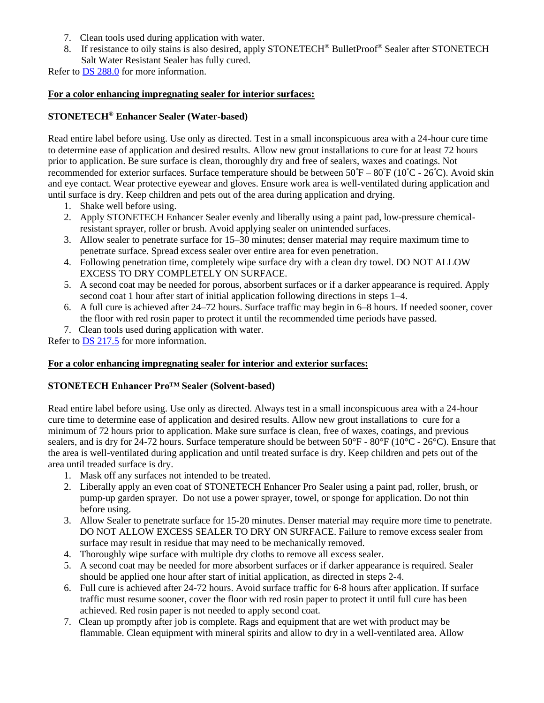- 7. Clean tools used during application with water.
- 8. If resistance to oily stains is also desired, apply STONETECH® BulletProof® Sealer after STONETECH Salt Water Resistant Sealer has fully cured.

Refer to [DS 288.0](https://cdn.laticrete.com/~/media/product-documents/product-data-sheets/ds-288.ashx) for more information.

#### **For a color enhancing impregnating sealer for interior surfaces:**

# **STONETECH® Enhancer Sealer (Water-based)**

Read entire label before using. Use only as directed. Test in a small inconspicuous area with a 24-hour cure time to determine ease of application and desired results. Allow new grout installations to cure for at least 72 hours prior to application. Be sure surface is clean, thoroughly dry and free of sealers, waxes and coatings. Not recommended for exterior surfaces. Surface temperature should be between  $50^{\circ}F - 80^{\circ}F (10^{\circ}C - 26^{\circ}C)$ . Avoid skin and eye contact. Wear protective eyewear and gloves. Ensure work area is well-ventilated during application and until surface is dry. Keep children and pets out of the area during application and drying.

- 1. Shake well before using.
- 2. Apply STONETECH Enhancer Sealer evenly and liberally using a paint pad, low-pressure chemicalresistant sprayer, roller or brush. Avoid applying sealer on unintended surfaces.
- 3. Allow sealer to penetrate surface for 15–30 minutes; denser material may require maximum time to penetrate surface. Spread excess sealer over entire area for even penetration.
- 4. Following penetration time, completely wipe surface dry with a clean dry towel. DO NOT ALLOW EXCESS TO DRY COMPLETELY ON SURFACE.
- 5. A second coat may be needed for porous, absorbent surfaces or if a darker appearance is required. Apply second coat 1 hour after start of initial application following directions in steps 1–4.
- 6. A full cure is achieved after 24–72 hours. Surface traffic may begin in 6–8 hours. If needed sooner, cover the floor with red rosin paper to protect it until the recommended time periods have passed.
- 7. Clean tools used during application with water.

Refer to **DS 217.5** for more information.

#### **For a color enhancing impregnating sealer for interior and exterior surfaces:**

# **STONETECH Enhancer Pro™ Sealer (Solvent-based)**

Read entire label before using. Use only as directed. Always test in a small inconspicuous area with a 24-hour cure time to determine ease of application and desired results. Allow new grout installations to cure for a minimum of 72 hours prior to application. Make sure surface is clean, free of waxes, coatings, and previous sealers, and is dry for 24-72 hours. Surface temperature should be between  $50^{\circ}F - 80^{\circ}F (10^{\circ}C - 26^{\circ}C)$ . Ensure that the area is well-ventilated during application and until treated surface is dry. Keep children and pets out of the area until treaded surface is dry.

- 1. Mask off any surfaces not intended to be treated.
- 2. Liberally apply an even coat of STONETECH Enhancer Pro Sealer using a paint pad, roller, brush, or pump-up garden sprayer. Do not use a power sprayer, towel, or sponge for application. Do not thin before using.
- 3. Allow Sealer to penetrate surface for 15-20 minutes. Denser material may require more time to penetrate. DO NOT ALLOW EXCESS SEALER TO DRY ON SURFACE. Failure to remove excess sealer from surface may result in residue that may need to be mechanically removed.
- 4. Thoroughly wipe surface with multiple dry cloths to remove all excess sealer.
- 5. A second coat may be needed for more absorbent surfaces or if darker appearance is required. Sealer should be applied one hour after start of initial application, as directed in steps 2-4.
- 6. Full cure is achieved after 24-72 hours. Avoid surface traffic for 6-8 hours after application. If surface traffic must resume sooner, cover the floor with red rosin paper to protect it until full cure has been achieved. Red rosin paper is not needed to apply second coat.
- 7. Clean up promptly after job is complete. Rags and equipment that are wet with product may be flammable. Clean equipment with mineral spirits and allow to dry in a well-ventilated area. Allow